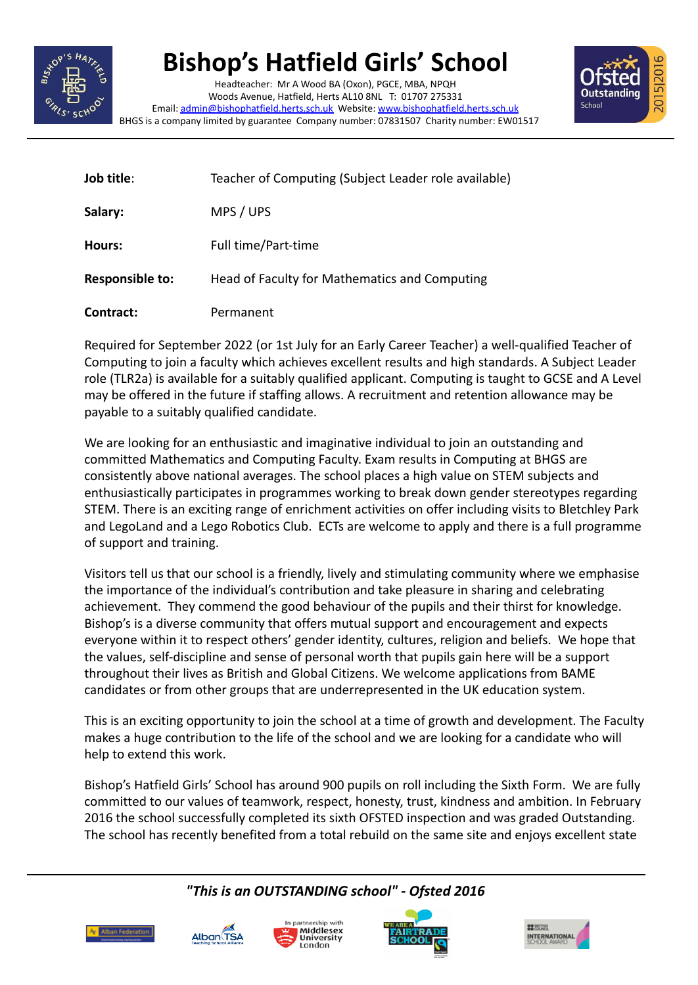

## **Bishop's Hatfield Girls' School**

Headteacher: Mr A Wood BA (Oxon), PGCE, MBA, NPQH Woods Avenue, Hatfield, Herts AL10 8NL T: 01707 275331 Email: [admin@bishophatfield.herts.sch.uk](mailto:admin@bishophatfield.herts.sch.uk) Website: [www.bishophatfield.herts.sch.uk](http://www.bishophatfield.herts.sch.uk) BHGS is a company limited by guarantee Company number: 07831507 Charity number: EW01517



| Job title:             | Teacher of Computing (Subject Leader role available) |
|------------------------|------------------------------------------------------|
| Salary:                | MPS / UPS                                            |
| Hours:                 | Full time/Part-time                                  |
| <b>Responsible to:</b> | Head of Faculty for Mathematics and Computing        |
| Contract:              | Permanent                                            |

Required for September 2022 (or 1st July for an Early Career Teacher) a well-qualified Teacher of Computing to join a faculty which achieves excellent results and high standards. A Subject Leader role (TLR2a) is available for a suitably qualified applicant. Computing is taught to GCSE and A Level may be offered in the future if staffing allows. A recruitment and retention allowance may be payable to a suitably qualified candidate.

We are looking for an enthusiastic and imaginative individual to join an outstanding and committed Mathematics and Computing Faculty. Exam results in Computing at BHGS are consistently above national averages. The school places a high value on STEM subjects and enthusiastically participates in programmes working to break down gender stereotypes regarding STEM. There is an exciting range of enrichment activities on offer including visits to Bletchley Park and LegoLand and a Lego Robotics Club. ECTs are welcome to apply and there is a full programme of support and training.

Visitors tell us that our school is a friendly, lively and stimulating community where we emphasise the importance of the individual's contribution and take pleasure in sharing and celebrating achievement. They commend the good behaviour of the pupils and their thirst for knowledge. Bishop's is a diverse community that offers mutual support and encouragement and expects everyone within it to respect others' gender identity, cultures, religion and beliefs. We hope that the values, self-discipline and sense of personal worth that pupils gain here will be a support throughout their lives as British and Global Citizens. We welcome applications from BAME candidates or from other groups that are underrepresented in the UK education system.

This is an exciting opportunity to join the school at a time of growth and development. The Faculty makes a huge contribution to the life of the school and we are looking for a candidate who will help to extend this work.

Bishop's Hatfield Girls' School has around 900 pupils on roll including the Sixth Form. We are fully committed to our values of teamwork, respect, honesty, trust, kindness and ambition. In February 2016 the school successfully completed its sixth OFSTED inspection and was graded Outstanding. The school has recently benefited from a total rebuild on the same site and enjoys excellent state







*"This is an OUTSTANDING school" - Ofsted 2016*